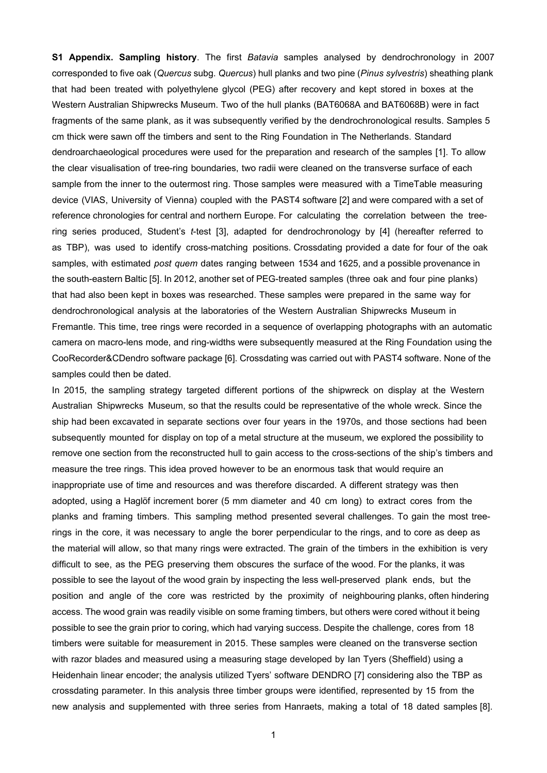**S1 Appendix. Sampling history**. The first *Batavia* samples analysed by dendrochronology in 2007 corresponded to five oak (*Quercus* subg. *Quercus*) hull planks and two pine (*Pinus sylvestris*) sheathing plank that had been treated with polyethylene glycol (PEG) after recovery and kept stored in boxes at the Western Australian Shipwrecks Museum. Two of the hull planks (BAT6068A and BAT6068B) were in fact fragments of the same plank, as it was subsequently verified by the dendrochronological results. Samples 5 cm thick were sawn off the timbers and sent to the Ring Foundation in The Netherlands. Standard dendroarchaeological procedures were used for the preparation and research of the samples [1]. To allow the clear visualisation of tree-ring boundaries, two radii were cleaned on the transverse surface of each sample from the inner to the outermost ring. Those samples were measured with a TimeTable measuring device (VIAS, University of Vienna) coupled with the PAST4 software [2] and were compared with a set of reference chronologies for central and northern Europe. For calculating the correlation between the treering series produced, Student's *t*-test [3], adapted for dendrochronology by [4] (hereafter referred to as TBP), was used to identify cross-matching positions. Crossdating provided a date for four of the oak samples, with estimated *post quem* dates ranging between 1534 and 1625, and a possible provenance in the south-eastern Baltic [5]. In 2012, another set of PEG-treated samples (three oak and four pine planks) that had also been kept in boxes was researched. These samples were prepared in the same way for dendrochronological analysis at the laboratories of the Western Australian Shipwrecks Museum in Fremantle. This time, tree rings were recorded in a sequence of overlapping photographs with an automatic camera on macro-lens mode, and ring-widths were subsequently measured at the Ring Foundation using the CooRecorder&CDendro software package [6]. Crossdating was carried out with PAST4 software. None of the samples could then be dated.

In 2015, the sampling strategy targeted different portions of the shipwreck on display at the Western Australian Shipwrecks Museum, so that the results could be representative of the whole wreck. Since the ship had been excavated in separate sections over four years in the 1970s, and those sections had been subsequently mounted for display on top of a metal structure at the museum, we explored the possibility to remove one section from the reconstructed hull to gain access to the cross-sections of the ship's timbers and measure the tree rings. This idea proved however to be an enormous task that would require an inappropriate use of time and resources and was therefore discarded. A different strategy was then adopted, using a Haglöf increment borer (5 mm diameter and 40 cm long) to extract cores from the planks and framing timbers. This sampling method presented several challenges. To gain the most treerings in the core, it was necessary to angle the borer perpendicular to the rings, and to core as deep as the material will allow, so that many rings were extracted. The grain of the timbers in the exhibition is very difficult to see, as the PEG preserving them obscures the surface of the wood. For the planks, it was possible to see the layout of the wood grain by inspecting the less well-preserved plank ends, but the position and angle of the core was restricted by the proximity of neighbouring planks, often hindering access. The wood grain was readily visible on some framing timbers, but others were cored without it being possible to see the grain prior to coring, which had varying success. Despite the challenge, cores from 18 timbers were suitable for measurement in 2015. These samples were cleaned on the transverse section with razor blades and measured using a measuring stage developed by Ian Tyers (Sheffield) using a Heidenhain linear encoder; the analysis utilized Tyers' software DENDRO [7] considering also the TBP as crossdating parameter. In this analysis three timber groups were identified, represented by 15 from the new analysis and supplemented with three series from Hanraets, making a total of 18 dated samples [8].

1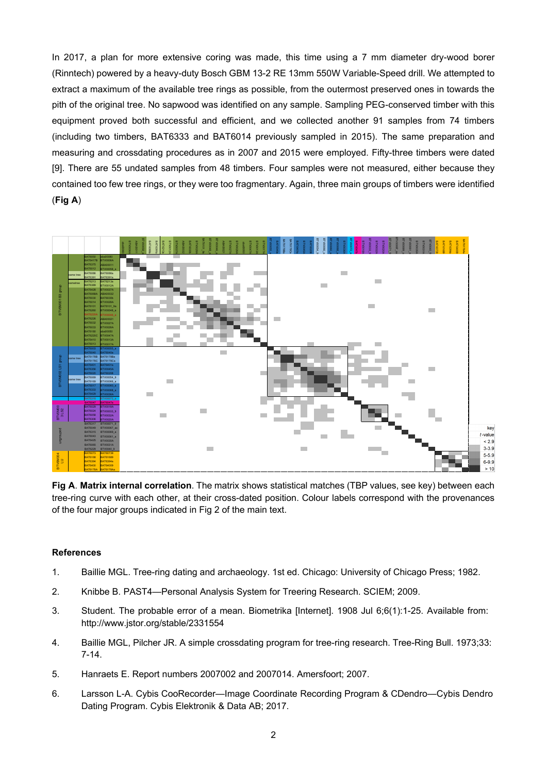In 2017, a plan for more extensive coring was made, this time using a 7 mm diameter dry-wood borer (Rinntech) powered by a heavy-duty Bosch GBM 13-2 RE 13mm 550W Variable-Speed drill. We attempted to extract a maximum of the available tree rings as possible, from the outermost preserved ones in towards the pith of the original tree. No sapwood was identified on any sample. Sampling PEG-conserved timber with this equipment proved both successful and efficient, and we collected another 91 samples from 74 timbers (including two timbers, BAT6333 and BAT6014 previously sampled in 2015). The same preparation and measuring and crossdating procedures as in 2007 and 2015 were employed. Fifty-three timbers were dated [9]. There are 55 undated samples from 48 timbers. Four samples were not measured, either because they contained too few tree rings, or they were too fragmentary. Again, three main groups of timbers were identified (**Fig A**)



**Fig A**. **Matrix internal correlation**. The matrix shows statistical matches (TBP values, see key) between each tree-ring curve with each other, at their cross-dated position. Colour labels correspond with the provenances of the four major groups indicated in Fig 2 of the main text.

## **References**

- 1. Baillie MGL. Tree-ring dating and archaeology. 1st ed. Chicago: University of Chicago Press; 1982.
- 2. Knibbe B. PAST4—Personal Analysis System for Treering Research. SCIEM; 2009.
- 3. Student. The probable error of a mean. Biometrika [Internet]. 1908 Jul 6;6(1):1-25. Available from: http://www.jstor.org/stable/2331554
- 4. Baillie MGL, Pilcher JR. A simple crossdating program for tree-ring research. Tree-Ring Bull. 1973;33: 7-14.
- 5. Hanraets E. Report numbers 2007002 and 2007014. Amersfoort; 2007.
- 6. Larsson L-A. Cybis CooRecorder—Image Coordinate Recording Program & CDendro—Cybis Dendro